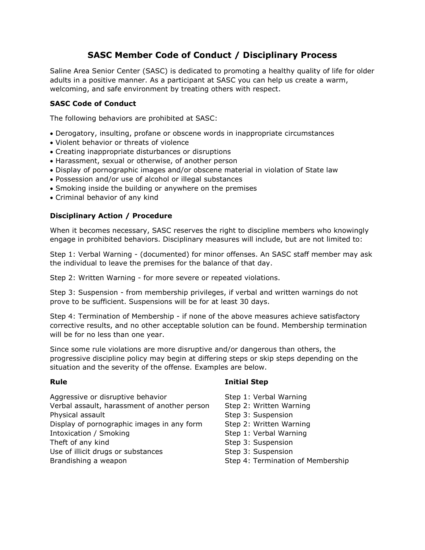# **SASC Member Code of Conduct / Disciplinary Process**

Saline Area Senior Center (SASC) is dedicated to promoting a healthy quality of life for older adults in a positive manner. As a participant at SASC you can help us create a warm, welcoming, and safe environment by treating others with respect.

# **SASC Code of Conduct**

The following behaviors are prohibited at SASC:

- Derogatory, insulting, profane or obscene words in inappropriate circumstances
- Violent behavior or threats of violence
- Creating inappropriate disturbances or disruptions
- Harassment, sexual or otherwise, of another person
- Display of pornographic images and/or obscene material in violation of State law
- Possession and/or use of alcohol or illegal substances
- Smoking inside the building or anywhere on the premises
- Criminal behavior of any kind

# **Disciplinary Action / Procedure**

When it becomes necessary, SASC reserves the right to discipline members who knowingly engage in prohibited behaviors. Disciplinary measures will include, but are not limited to:

Step 1: Verbal Warning - (documented) for minor offenses. An SASC staff member may ask the individual to leave the premises for the balance of that day.

Step 2: Written Warning - for more severe or repeated violations.

Step 3: Suspension - from membership privileges, if verbal and written warnings do not prove to be sufficient. Suspensions will be for at least 30 days.

Step 4: Termination of Membership - if none of the above measures achieve satisfactory corrective results, and no other acceptable solution can be found. Membership termination will be for no less than one year.

Since some rule violations are more disruptive and/or dangerous than others, the progressive discipline policy may begin at differing steps or skip steps depending on the situation and the severity of the offense. Examples are below.

# **Rule Contract Contract Contract Contract Contract Contract Contract Contract Contract Contract Contract Contract Contract Contract Contract Contract Contract Contract Contract Contract Contract Contract Contract Contrac**

- Aggressive or disruptive behavior Step 1: Verbal Warning Verbal assault, harassment of another person Step 2: Written Warning Physical assault **Step 3: Suspension** Step 3: Suspension Display of pornographic images in any form Step 2: Written Warning Intoxication / Smoking The Step 1: Verbal Warning Theft of any kind Step 3: Suspension Use of illicit drugs or substances The Step 3: Suspension Brandishing a weapon **Step 4: Termination of Membership** Step 4: Termination of Membership
	-